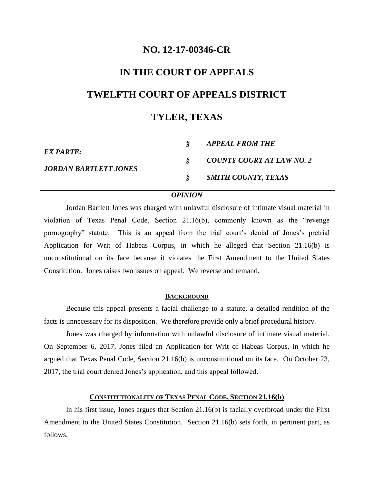## **NO. 12-17-00346-CR**

# **IN THE COURT OF APPEALS TWELFTH COURT OF APPEALS DISTRICT TYLER, TEXAS**

| EX PARTE:                    | APPEAL FROM THE           |
|------------------------------|---------------------------|
| <b>JORDAN BARTLETT JONES</b> | COUNTY COURT AT LAW NO. 2 |
|                              | SMITH COUNTY, TEXAS       |

### *OPINION*

Jordan Bartlett Jones was charged with unlawful disclosure of intimate visual material in violation of Texas Penal Code, Section 21.16(b), commonly known as the "revenge pornography" statute. This is an appeal from the trial court's denial of Jones's pretrial Application for Writ of Habeas Corpus, in which he alleged that Section 21.16(b) is unconstitutional on its face because it violates the First Amendment to the United States Constitution. Jones raises two issues on appeal. We reverse and remand.

#### **BACKGROUND**

Because this appeal presents a facial challenge to a statute, a detailed rendition of the facts is unnecessary for its disposition. We therefore provide only a brief procedural history.

Jones was charged by information with unlawful disclosure of intimate visual material. On September 6, 2017, Jones filed an Application for Writ of Habeas Corpus, in which he argued that Texas Penal Code, Section 21.16(b) is unconstitutional on its face. On October 23, 2017, the trial court denied Jones's application, and this appeal followed.

#### **CONSTITUTIONALITY OF TEXAS PENAL CODE, SECTION 21.16(b)**

In his first issue, Jones argues that Section 21.16(b) is facially overbroad under the First Amendment to the United States Constitution. Section 21.16(b) sets forth, in pertinent part, as follows: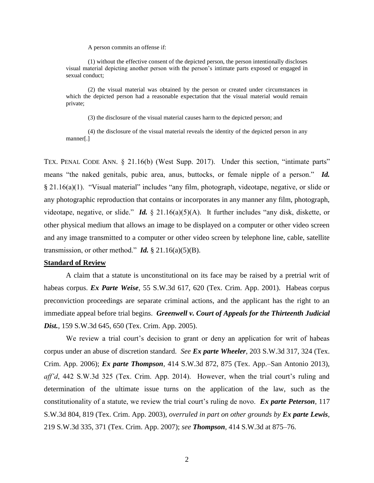A person commits an offense if:

(1) without the effective consent of the depicted person, the person intentionally discloses visual material depicting another person with the person's intimate parts exposed or engaged in sexual conduct;

(2) the visual material was obtained by the person or created under circumstances in which the depicted person had a reasonable expectation that the visual material would remain private;

(3) the disclosure of the visual material causes harm to the depicted person; and

(4) the disclosure of the visual material reveals the identity of the depicted person in any manner[.]

TEX. PENAL CODE ANN. § 21.16(b) (West Supp. 2017). Under this section, "intimate parts" means "the naked genitals, pubic area, anus, buttocks, or female nipple of a person." *Id.* § 21.16(a)(1). "Visual material" includes "any film, photograph, videotape, negative, or slide or any photographic reproduction that contains or incorporates in any manner any film, photograph, videotape, negative, or slide." *Id.* § 21.16(a)(5)(A). It further includes "any disk, diskette, or other physical medium that allows an image to be displayed on a computer or other video screen and any image transmitted to a computer or other video screen by telephone line, cable, satellite transmission, or other method." *Id.*  $\S$  21.16(a)(5)(B).

#### **Standard of Review**

A claim that a statute is unconstitutional on its face may be raised by a pretrial writ of habeas corpus. *Ex Parte Weise*, 55 S.W.3d 617, 620 (Tex. Crim. App. 2001). Habeas corpus preconviction proceedings are separate criminal actions, and the applicant has the right to an immediate appeal before trial begins. *Greenwell v. Court of Appeals for the Thirteenth Judicial Dist.*, 159 S.W.3d 645, 650 (Tex. Crim. App. 2005).

We review a trial court's decision to grant or deny an application for writ of habeas corpus under an abuse of discretion standard. *See Ex parte Wheeler*, 203 S.W.3d 317, 324 (Tex. Crim. App. 2006); *Ex parte Thompson*, 414 S.W.3d 872, 875 (Tex. App.–San Antonio 2013), *aff'd*, 442 S.W.3d 325 (Tex. Crim. App. 2014). However, when the trial court's ruling and determination of the ultimate issue turns on the application of the law, such as the constitutionality of a statute, we review the trial court's ruling de novo. *Ex parte Peterson*, 117 S.W.3d 804, 819 (Tex. Crim. App. 2003), *overruled in part on other grounds by Ex parte Lewis*, 219 S.W.3d 335, 371 (Tex. Crim. App. 2007); *see Thompson*, 414 S.W.3d at 875–76.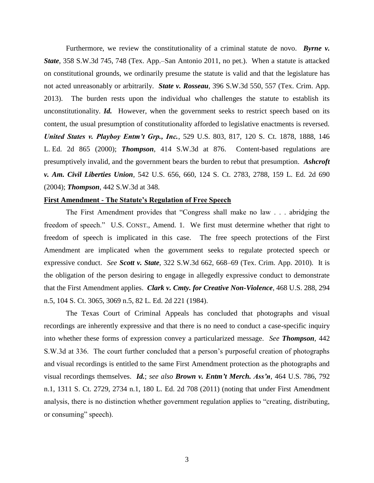Furthermore, we review the constitutionality of a criminal statute de novo. **Byrne v.** *State*, 358 S.W.3d 745, 748 (Tex. App.–San Antonio 2011, no pet.). When a statute is attacked on constitutional grounds, we ordinarily presume the statute is valid and that the legislature has not acted unreasonably or arbitrarily. *State v. Rosseau*, 396 S.W.3d 550, 557 (Tex. Crim. App. 2013). The burden rests upon the individual who challenges the statute to establish its unconstitutionality. *Id.* However, when the government seeks to restrict speech based on its content, the usual presumption of constitutionality afforded to legislative enactments is reversed. *United States v. Playboy Entm't Grp., Inc.*, 529 U.S. 803, 817, 120 S. Ct. 1878, 1888, 146 L. Ed. 2d 865 (2000); *Thompson*, 414 S.W.3d at 876. Content-based regulations are presumptively invalid, and the government bears the burden to rebut that presumption. *Ashcroft v. Am. Civil Liberties Union*, 542 U.S. 656, 660, 124 S. Ct. 2783, 2788, 159 L. Ed. 2d 690 (2004); *Thompson*, 442 S.W.3d at 348.

#### **First Amendment - The Statute's Regulation of Free Speech**

The First Amendment provides that "Congress shall make no law . . . abridging the freedom of speech." U.S. CONST., Amend. 1. We first must determine whether that right to freedom of speech is implicated in this case. The free speech protections of the First Amendment are implicated when the government seeks to regulate protected speech or expressive conduct. *See Scott v. State*, 322 S.W.3d 662, 668–69 (Tex. Crim. App. 2010). It is the obligation of the person desiring to engage in allegedly expressive conduct to demonstrate that the First Amendment applies. *Clark v. Cmty. for Creative Non-Violence*, 468 U.S. 288, 294 n.5, 104 S. Ct. 3065, 3069 n.5, 82 L. Ed. 2d 221 (1984).

The Texas Court of Criminal Appeals has concluded that photographs and visual recordings are inherently expressive and that there is no need to conduct a case-specific inquiry into whether these forms of expression convey a particularized message. *See Thompson*, 442 S.W.3d at 336. The court further concluded that a person's purposeful creation of photographs and visual recordings is entitled to the same First Amendment protection as the photographs and visual recordings themselves. *Id.*; *see also Brown v. Entm't Merch. Ass'n*, 464 U.S. 786, 792 n.1, 1311 S. Ct. 2729, 2734 n.1, 180 L. Ed. 2d 708 (2011) (noting that under First Amendment analysis, there is no distinction whether government regulation applies to "creating, distributing, or consuming" speech).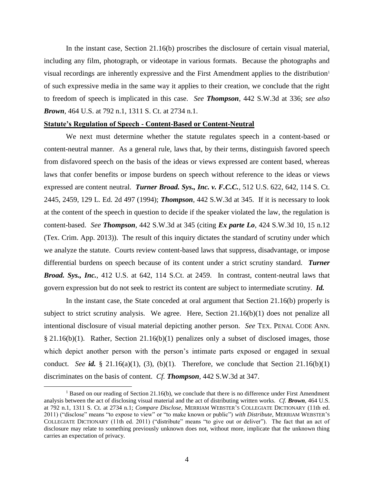In the instant case, Section 21.16(b) proscribes the disclosure of certain visual material, including any film, photograph, or videotape in various formats. Because the photographs and visual recordings are inherently expressive and the First Amendment applies to the distribution<sup>1</sup> of such expressive media in the same way it applies to their creation, we conclude that the right to freedom of speech is implicated in this case. *See Thompson*, 442 S.W.3d at 336; *see also Brown*, 464 U.S. at 792 n.1, 1311 S. Ct. at 2734 n.1.

#### **Statute's Regulation of Speech - Content-Based or Content-Neutral**

We next must determine whether the statute regulates speech in a content-based or content-neutral manner. As a general rule, laws that, by their terms, distinguish favored speech from disfavored speech on the basis of the ideas or views expressed are content based, whereas laws that confer benefits or impose burdens on speech without reference to the ideas or views expressed are content neutral. *Turner Broad. Sys., Inc. v. F.C.C.*, 512 U.S. 622, 642, 114 S. Ct. 2445, 2459, 129 L. Ed. 2d 497 (1994); *Thompson*, 442 S.W.3d at 345. If it is necessary to look at the content of the speech in question to decide if the speaker violated the law, the regulation is content-based. *See Thompson*, 442 S.W.3d at 345 (citing *Ex parte Lo*, 424 S.W.3d 10, 15 n.12 (Tex. Crim. App. 2013)). The result of this inquiry dictates the standard of scrutiny under which we analyze the statute. Courts review content-based laws that suppress, disadvantage, or impose differential burdens on speech because of its content under a strict scrutiny standard. *Turner Broad. Sys., Inc.*, 412 U.S. at 642, 114 S.Ct. at 2459. In contrast, content-neutral laws that govern expression but do not seek to restrict its content are subject to intermediate scrutiny. *Id.*

In the instant case, the State conceded at oral argument that Section 21.16(b) properly is subject to strict scrutiny analysis. We agree. Here, Section 21.16(b)(1) does not penalize all intentional disclosure of visual material depicting another person. *See* TEX. PENAL CODE ANN. § 21.16(b)(1). Rather, Section 21.16(b)(1) penalizes only a subset of disclosed images, those which depict another person with the person's intimate parts exposed or engaged in sexual conduct. *See id.* § 21.16(a)(1), (3), (b)(1). Therefore, we conclude that Section 21.16(b)(1) discriminates on the basis of content. *Cf. Thompson*, 442 S.W.3d at 347.

 $\overline{a}$ 

<sup>&</sup>lt;sup>1</sup> Based on our reading of Section 21.16(b), we conclude that there is no difference under First Amendment analysis between the act of disclosing visual material and the act of distributing written works. *Cf. Brown*, 464 U.S. at 792 n.1, 1311 S. Ct. at 2734 n.1; *Compare Disclose*, MERRIAM WEBSTER'S COLLEGIATE DICTIONARY (11th ed. 2011) ("disclose" means "to expose to view" or "to make known or public") *with Distribute*, MERRIAM WEBSTER'S COLLEGIATE DICTIONARY (11th ed. 2011) ("distribute" means "to give out or deliver"). The fact that an act of disclosure may relate to something previously unknown does not, without more, implicate that the unknown thing carries an expectation of privacy.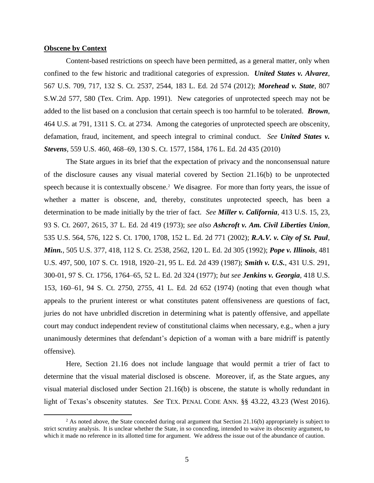#### **Obscene by Context**

 $\overline{a}$ 

Content-based restrictions on speech have been permitted, as a general matter, only when confined to the few historic and traditional categories of expression. *United States v. Alvarez*, 567 U.S. 709, 717, 132 S. Ct. 2537, 2544, 183 L. Ed. 2d 574 (2012); *Morehead v. State*, 807 S.W.2d 577, 580 (Tex. Crim. App. 1991). New categories of unprotected speech may not be added to the list based on a conclusion that certain speech is too harmful to be tolerated. *Brown*, 464 U.S. at 791, 1311 S. Ct. at 2734. Among the categories of unprotected speech are obscenity, defamation, fraud, incitement, and speech integral to criminal conduct. *See United States v. Stevens*, 559 U.S. 460, 468–69, 130 S. Ct. 1577, 1584, 176 L. Ed. 2d 435 (2010)

The State argues in its brief that the expectation of privacy and the nonconsensual nature of the disclosure causes any visual material covered by Section 21.16(b) to be unprotected speech because it is contextually obscene.<sup>2</sup> We disagree. For more than forty years, the issue of whether a matter is obscene, and, thereby, constitutes unprotected speech, has been a determination to be made initially by the trier of fact. *See Miller v. California*, 413 U.S. 15, 23, 93 S. Ct. 2607, 2615, 37 L. Ed. 2d 419 (1973); *see also Ashcroft v. Am. Civil Liberties Union*, 535 U.S. 564, 576, 122 S. Ct. 1700, 1708, 152 L. Ed. 2d 771 (2002); *R.A.V. v. City of St. Paul*, *Minn.*, 505 U.S. 377, 418, 112 S. Ct. 2538, 2562, 120 L. Ed. 2d 305 (1992); *Pope v. Illinois*, 481 U.S. 497, 500, 107 S. Ct. 1918, 1920–21, 95 L. Ed. 2d 439 (1987); *Smith v. U.S.*, 431 U.S. 291, 300-01, 97 S. Ct. 1756, 1764–65, 52 L. Ed. 2d 324 (1977); *but see Jenkins v. Georgia*, 418 U.S. 153, 160–61, 94 S. Ct. 2750, 2755, 41 L. Ed. 2d 652 (1974) (noting that even though what appeals to the prurient interest or what constitutes patent offensiveness are questions of fact, juries do not have unbridled discretion in determining what is patently offensive, and appellate court may conduct independent review of constitutional claims when necessary, e.g., when a jury unanimously determines that defendant's depiction of a woman with a bare midriff is patently offensive).

Here, Section 21.16 does not include language that would permit a trier of fact to determine that the visual material disclosed is obscene. Moreover, if, as the State argues, any visual material disclosed under Section 21.16(b) is obscene, the statute is wholly redundant in light of Texas's obscenity statutes. *See* TEX. PENAL CODE ANN. §§ 43.22, 43.23 (West 2016).

 $2$  As noted above, the State conceded during oral argument that Section 21.16(b) appropriately is subject to strict scrutiny analysis. It is unclear whether the State, in so conceding, intended to waive its obscenity argument, to which it made no reference in its allotted time for argument. We address the issue out of the abundance of caution.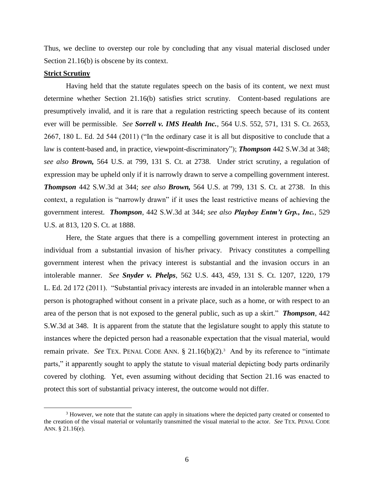Thus, we decline to overstep our role by concluding that any visual material disclosed under Section 21.16(b) is obscene by its context.

#### **Strict Scrutiny**

 $\overline{a}$ 

Having held that the statute regulates speech on the basis of its content, we next must determine whether Section 21.16(b) satisfies strict scrutiny. Content-based regulations are presumptively invalid, and it is rare that a regulation restricting speech because of its content ever will be permissible. *See Sorrell v. IMS Health Inc.*, 564 U.S. 552, 571, 131 S. Ct. 2653, 2667, 180 L. Ed. 2d 544 (2011) ("In the ordinary case it is all but dispositive to conclude that a law is content-based and, in practice, viewpoint-discriminatory"); *Thompson* 442 S.W.3d at 348; *see also Brown,* 564 U.S. at 799, 131 S. Ct. at 2738. Under strict scrutiny, a regulation of expression may be upheld only if it is narrowly drawn to serve a compelling government interest. *Thompson* 442 S.W.3d at 344; *see also Brown,* 564 U.S. at 799, 131 S. Ct. at 2738. In this context, a regulation is "narrowly drawn" if it uses the least restrictive means of achieving the government interest. *Thompson*, 442 S.W.3d at 344; *see also Playboy Entm't Grp., Inc.*, 529 U.S. at 813, 120 S. Ct. at 1888.

Here, the State argues that there is a compelling government interest in protecting an individual from a substantial invasion of his/her privacy. Privacy constitutes a compelling government interest when the privacy interest is substantial and the invasion occurs in an intolerable manner. *See Snyder v. Phelps*, 562 U.S. 443, 459, 131 S. Ct. 1207, 1220, 179 L. Ed. 2d 172 (2011). "Substantial privacy interests are invaded in an intolerable manner when a person is photographed without consent in a private place, such as a home, or with respect to an area of the person that is not exposed to the general public, such as up a skirt." *Thompson*, 442 S.W.3d at 348. It is apparent from the statute that the legislature sought to apply this statute to instances where the depicted person had a reasonable expectation that the visual material, would remain private. *See* TEX. PENAL CODE ANN. § 21.16(b)(2).<sup>3</sup> And by its reference to "intimate parts," it apparently sought to apply the statute to visual material depicting body parts ordinarily covered by clothing. Yet, even assuming without deciding that Section 21.16 was enacted to protect this sort of substantial privacy interest, the outcome would not differ.

<sup>&</sup>lt;sup>3</sup> However, we note that the statute can apply in situations where the depicted party created or consented to the creation of the visual material or voluntarily transmitted the visual material to the actor. *See* TEX. PENAL CODE ANN. § 21.16(e).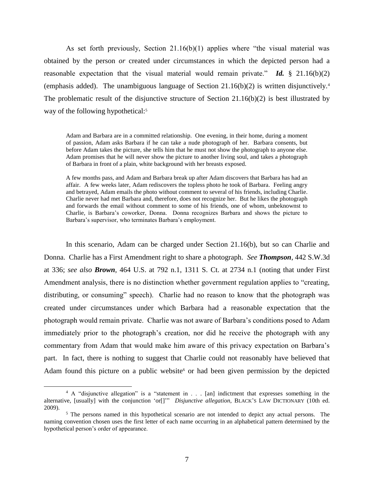As set forth previously, Section 21.16(b)(1) applies where "the visual material was obtained by the person *or* created under circumstances in which the depicted person had a reasonable expectation that the visual material would remain private." *Id.* § 21.16(b)(2) (emphasis added). The unambiguous language of Section  $21.16(b)(2)$  is written disjunctively.<sup>4</sup> The problematic result of the disjunctive structure of Section 21.16(b)(2) is best illustrated by way of the following hypothetical:<sup>5</sup>

Adam and Barbara are in a committed relationship. One evening, in their home, during a moment of passion, Adam asks Barbara if he can take a nude photograph of her. Barbara consents, but before Adam takes the picture, she tells him that he must not show the photograph to anyone else. Adam promises that he will never show the picture to another living soul, and takes a photograph of Barbara in front of a plain, white background with her breasts exposed.

A few months pass, and Adam and Barbara break up after Adam discovers that Barbara has had an affair. A few weeks later, Adam rediscovers the topless photo he took of Barbara. Feeling angry and betrayed, Adam emails the photo without comment to several of his friends, including Charlie. Charlie never had met Barbara and, therefore, does not recognize her. But he likes the photograph and forwards the email without comment to some of his friends, one of whom, unbeknownst to Charlie, is Barbara's coworker, Donna. Donna recognizes Barbara and shows the picture to Barbara's supervisor, who terminates Barbara's employment.

In this scenario, Adam can be charged under Section 21.16(b), but so can Charlie and Donna. Charlie has a First Amendment right to share a photograph. *See Thompson*, 442 S.W.3d at 336; *see also Brown*, 464 U.S. at 792 n.1, 1311 S. Ct. at 2734 n.1 (noting that under First Amendment analysis, there is no distinction whether government regulation applies to "creating, distributing, or consuming" speech). Charlie had no reason to know that the photograph was created under circumstances under which Barbara had a reasonable expectation that the photograph would remain private. Charlie was not aware of Barbara's conditions posed to Adam immediately prior to the photograph's creation, nor did he receive the photograph with any commentary from Adam that would make him aware of this privacy expectation on Barbara's part. In fact, there is nothing to suggest that Charlie could not reasonably have believed that Adam found this picture on a public website<sup>6</sup> or had been given permission by the depicted

 $\overline{a}$ 

<sup>4</sup> A "disjunctive allegation" is a "statement in . . . [an] indictment that expresses something in the alternative, [usually] with the conjunction 'or[]'" *Disjunctive allegation*, BLACK'S LAW DICTIONARY (10th ed. 2009).

<sup>&</sup>lt;sup>5</sup> The persons named in this hypothetical scenario are not intended to depict any actual persons. The naming convention chosen uses the first letter of each name occurring in an alphabetical pattern determined by the hypothetical person's order of appearance.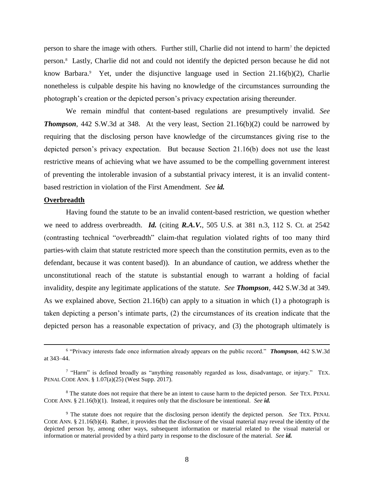person to share the image with others. Further still, Charlie did not intend to harm<sup>7</sup> the depicted person.<sup>8</sup> Lastly, Charlie did not and could not identify the depicted person because he did not know Barbara.<sup>9</sup> Yet, under the disjunctive language used in Section 21.16(b)(2), Charlie nonetheless is culpable despite his having no knowledge of the circumstances surrounding the photograph's creation or the depicted person's privacy expectation arising thereunder.

We remain mindful that content-based regulations are presumptively invalid. *See*  **Thompson**, 442 S.W.3d at 348. At the very least, Section 21.16(b)(2) could be narrowed by requiring that the disclosing person have knowledge of the circumstances giving rise to the depicted person's privacy expectation. But because Section 21.16(b) does not use the least restrictive means of achieving what we have assumed to be the compelling government interest of preventing the intolerable invasion of a substantial privacy interest, it is an invalid contentbased restriction in violation of the First Amendment. *See id.*

#### **Overbreadth**

 $\overline{a}$ 

Having found the statute to be an invalid content-based restriction, we question whether we need to address overbreadth. *Id.* (citing *R.A.V.*, 505 U.S. at 381 n.3, 112 S. Ct. at 2542 (contrasting technical "overbreadth" claim-that regulation violated rights of too many third parties-with claim that statute restricted more speech than the constitution permits, even as to the defendant, because it was content based)). In an abundance of caution, we address whether the unconstitutional reach of the statute is substantial enough to warrant a holding of facial invalidity, despite any legitimate applications of the statute. *See Thompson*, 442 S.W.3d at 349. As we explained above, Section  $21.16(b)$  can apply to a situation in which  $(1)$  a photograph is taken depicting a person's intimate parts, (2) the circumstances of its creation indicate that the depicted person has a reasonable expectation of privacy, and (3) the photograph ultimately is

<sup>6</sup> "Privacy interests fade once information already appears on the public record." *Thompson*, 442 S.W.3d at 343–44.

<sup>&</sup>lt;sup>7</sup> "Harm" is defined broadly as "anything reasonably regarded as loss, disadvantage, or injury." TEX. PENAL CODE ANN. § 1.07(a)(25) (West Supp. 2017).

<sup>8</sup> The statute does not require that there be an intent to cause harm to the depicted person. *See* TEX. PENAL CODE ANN. § 21.16(b)(1). Instead, it requires only that the disclosure be intentional. *See id.*

<sup>9</sup> The statute does not require that the disclosing person identify the depicted person. *See* TEX. PENAL CODE ANN.  $\S$  21.16(b)(4). Rather, it provides that the disclosure of the visual material may reveal the identity of the depicted person by, among other ways, subsequent information or material related to the visual material or information or material provided by a third party in response to the disclosure of the material. *See id.*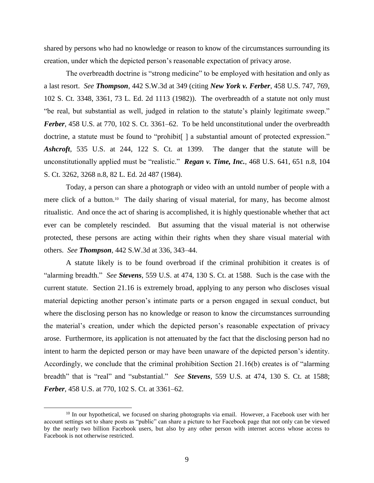shared by persons who had no knowledge or reason to know of the circumstances surrounding its creation, under which the depicted person's reasonable expectation of privacy arose.

The overbreadth doctrine is "strong medicine" to be employed with hesitation and only as a last resort. *See Thompson*, 442 S.W.3d at 349 (citing *New York v. Ferber*, 458 U.S. 747, 769, 102 S. Ct. 3348, 3361, 73 L. Ed. 2d 1113 (1982)). The overbreadth of a statute not only must "be real, but substantial as well, judged in relation to the statute's plainly legitimate sweep." *Ferber*, 458 U.S. at 770, 102 S. Ct. 3361–62. To be held unconstitutional under the overbreadth doctrine, a statute must be found to "prohibit. a substantial amount of protected expression." *Ashcroft*, 535 U.S. at 244, 122 S. Ct. at 1399. The danger that the statute will be unconstitutionally applied must be "realistic." *Regan v. Time, Inc.*, 468 U.S. 641, 651 n.8, 104 S. Ct. 3262, 3268 n.8, 82 L. Ed. 2d 487 (1984).

Today, a person can share a photograph or video with an untold number of people with a mere click of a button.<sup>10</sup> The daily sharing of visual material, for many, has become almost ritualistic. And once the act of sharing is accomplished, it is highly questionable whether that act ever can be completely rescinded. But assuming that the visual material is not otherwise protected, these persons are acting within their rights when they share visual material with others. *See Thompson*, 442 S.W.3d at 336, 343–44.

A statute likely is to be found overbroad if the criminal prohibition it creates is of "alarming breadth." *See Stevens*, 559 U.S. at 474, 130 S. Ct. at 1588. Such is the case with the current statute. Section 21.16 is extremely broad, applying to any person who discloses visual material depicting another person's intimate parts or a person engaged in sexual conduct, but where the disclosing person has no knowledge or reason to know the circumstances surrounding the material's creation, under which the depicted person's reasonable expectation of privacy arose. Furthermore, its application is not attenuated by the fact that the disclosing person had no intent to harm the depicted person or may have been unaware of the depicted person's identity. Accordingly, we conclude that the criminal prohibition Section 21.16(b) creates is of "alarming breadth" that is "real" and "substantial." *See Stevens*, 559 U.S. at 474, 130 S. Ct. at 1588; *Ferber*, 458 U.S. at 770, 102 S. Ct. at 3361–62.

 $\overline{a}$ 

 $10$  In our hypothetical, we focused on sharing photographs via email. However, a Facebook user with her account settings set to share posts as "public" can share a picture to her Facebook page that not only can be viewed by the nearly two billion Facebook users, but also by any other person with internet access whose access to Facebook is not otherwise restricted.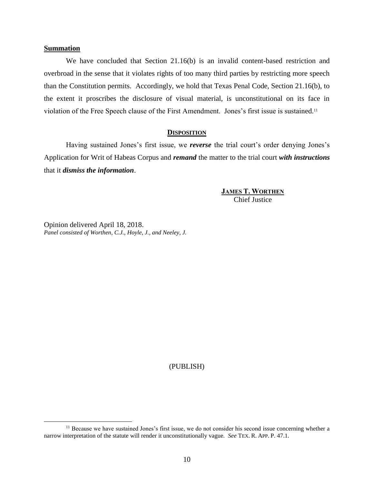#### **Summation**

 $\overline{a}$ 

We have concluded that Section 21.16(b) is an invalid content-based restriction and overbroad in the sense that it violates rights of too many third parties by restricting more speech than the Constitution permits. Accordingly, we hold that Texas Penal Code, Section 21.16(b), to the extent it proscribes the disclosure of visual material, is unconstitutional on its face in violation of the Free Speech clause of the First Amendment. Jones's first issue is sustained.<sup>11</sup>

#### **DISPOSITION**

Having sustained Jones's first issue, we *reverse* the trial court's order denying Jones's Application for Writ of Habeas Corpus and *remand* the matter to the trial court *with instructions*  that it *dismiss the information*.

> **JAMES T. WORTHEN** Chief Justice

Opinion delivered April 18, 2018. *Panel consisted of Worthen, C.J., Hoyle, J., and Neeley, J.*

(PUBLISH)

<sup>&</sup>lt;sup>11</sup> Because we have sustained Jones's first issue, we do not consider his second issue concerning whether a narrow interpretation of the statute will render it unconstitutionally vague. *See* TEX. R. APP. P. 47.1.